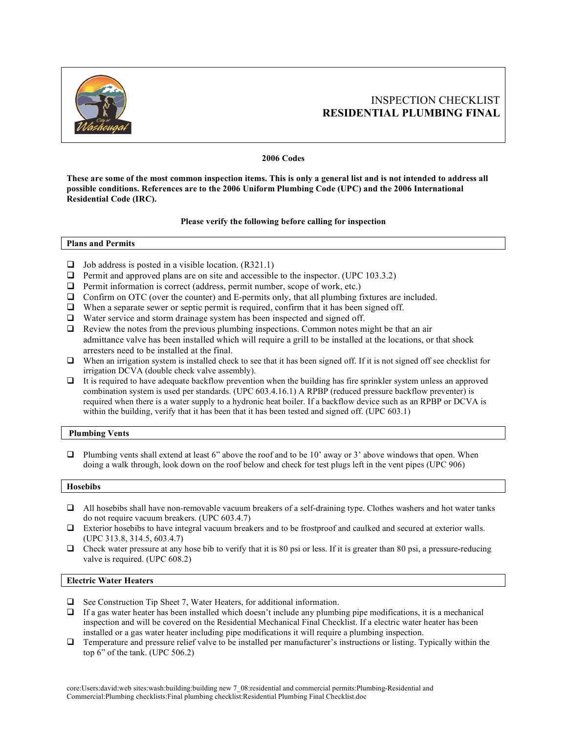

# INSPECTION CHECKLIST **RESIDENTIAL PLUMBING FINAL**

## **2006 Codes**

**These are some of the most common inspection items. This is only a general list and is not intended to address all possible conditions. References are to the 2006 Uniform Plumbing Code (UPC) and the 2006 International Residential Code (IRC).**

## **Please verify the following before calling for inspection**

**Plans and Permits**

- $\Box$  Job address is posted in a visible location. (R321.1)
- $\Box$  Permit and approved plans are on site and accessible to the inspector. (UPC 103.3.2)
- $\Box$  Permit information is correct (address, permit number, scope of work, etc.)
- $\Box$  Confirm on OTC (over the counter) and E-permits only, that all plumbing fixtures are included.
- $\Box$  When a separate sewer or septic permit is required, confirm that it has been signed off.
- $\Box$  Water service and storm drainage system has been inspected and signed off.
- $\Box$  Review the notes from the previous plumbing inspections. Common notes might be that an air admittance valve has been installed which will require a grill to be installed at the locations, or that shock arresters need to be installed at the final.
- $\Box$  When an irrigation system is installed check to see that it has been signed off. If it is not signed off see checklist for irrigation DCVA (double check valve assembly).
- $\Box$  It is required to have adequate backflow prevention when the building has fire sprinkler system unless an approved combination system is used per standards. (UPC 603.4.16.1) A RPBP (reduced pressure backflow preventer) is required when there is a water supply to a hydronic heat boiler. If a backflow device such as an RPBP or DCVA is within the building, verify that it has been that it has been tested and signed off. (UPC 603.1)

# **Plumbing Vents**

 $\Box$  Plumbing vents shall extend at least 6" above the roof and to be 10" away or 3" above windows that open. When doing a walk through, look down on the roof below and check for test plugs left in the vent pipes (UPC 906)

#### **Hosebibs**

- $\Box$  All hosebibs shall have non-removable vacuum breakers of a self-draining type. Clothes washers and hot water tanks do not require vacuum breakers. (UPC 603.4.7)
- $\Box$  Exterior hosebibs to have integral vacuum breakers and to be frostproof and caulked and secured at exterior walls. (UPC 313.8, 314.5, 603.4.7)
- $\Box$  Check water pressure at any hose bib to verify that it is 80 psi or less. If it is greater than 80 psi, a pressure-reducing valve is required. (UPC 608.2)

# **Electric Water Heaters**

- $\Box$  See Construction Tip Sheet 7, Water Heaters, for additional information.
- $\Box$  If a gas water heater has been installed which doesn't include any plumbing pipe modifications, it is a mechanical inspection and will be covered on the Residential Mechanical Final Checklist. If a electric water heater has been installed or a gas water heater including pipe modifications it will require a plumbing inspection.
- Temperature and pressure relief valve to be installed per manufacturer's instructions or listing. Typically within the top 6" of the tank. (UPC 506.2)